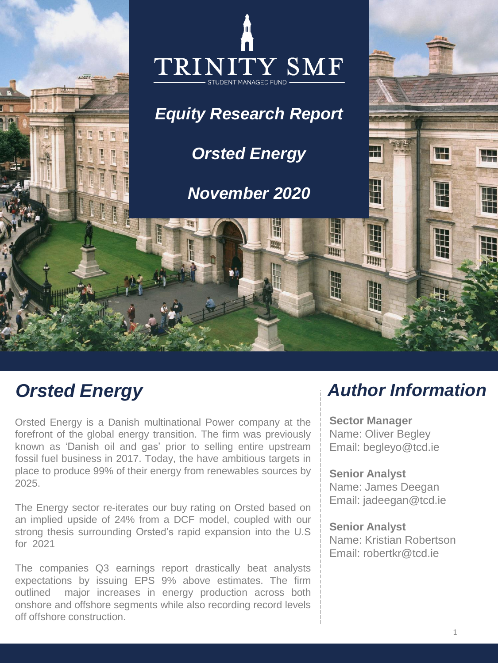

# *Orsted Energy*

Orsted Energy is a Danish multinational Power company at the forefront of the global energy transition. The firm was previously known as 'Danish oil and gas' prior to selling entire upstream fossil fuel business in 2017. Today, the have ambitious targets in place to produce 99% of their energy from renewables sources by 2025.

The Energy sector re-iterates our buy rating on Orsted based on an implied upside of 24% from a DCF model, coupled with our strong thesis surrounding Orsted's rapid expansion into the U.S for 2021

The companies Q3 earnings report drastically beat analysts expectations by issuing EPS 9% above estimates. The firm outlined major increases in energy production across both onshore and offshore segments while also recording record levels off offshore construction.

# *Author Information*

**Sector Manager** Name: Oliver Begley Email: begleyo@tcd.ie

**Senior Analyst** Name: James Deegan Email: jadeegan@tcd.ie

### **Senior Analyst**

Name: Kristian Robertson Email: robertkr@tcd.ie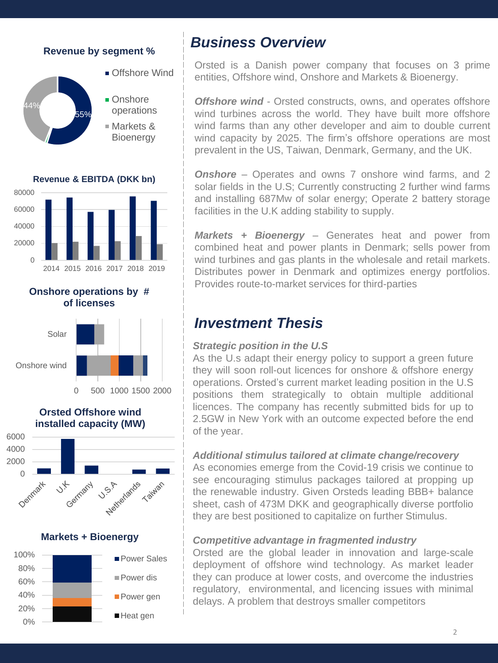## **Revenue by segment %**





Markets & **Bioenergy** 

**Revenue & EBITDA (DKK bn)**



**Onshore operations by # of licenses**



6000 **Orsted Offshore wind installed capacity (MW)** 







## *Business Overview*

Orsted is a Danish power company that focuses on 3 prime entities, Offshore wind, Onshore and Markets & Bioenergy.

*Offshore wind* - Orsted constructs, owns, and operates offshore wind turbines across the world. They have built more offshore wind farms than any other developer and aim to double current wind capacity by 2025. The firm's offshore operations are most prevalent in the US, Taiwan, Denmark, Germany, and the UK.

**Onshore** – Operates and owns 7 onshore wind farms, and 2 solar fields in the U.S; Currently constructing 2 further wind farms and installing 687Mw of solar energy; Operate 2 battery storage facilities in the U.K adding stability to supply.

*Markets + Bioenergy* – Generates heat and power from combined heat and power plants in Denmark; sells power from wind turbines and gas plants in the wholesale and retail markets. Distributes power in Denmark and optimizes energy portfolios. Provides route-to-market services for third-parties

## *Investment Thesis*

#### *Strategic position in the U.S*

As the U.s adapt their energy policy to support a green future they will soon roll-out licences for onshore & offshore energy operations. Orsted's current market leading position in the U.S positions them strategically to obtain multiple additional licences. The company has recently submitted bids for up to 2.5GW in New York with an outcome expected before the end of the year.

## *Additional stimulus tailored at climate change/recovery*

As economies emerge from the Covid-19 crisis we continue to see encouraging stimulus packages tailored at propping up the renewable industry. Given Orsteds leading BBB+ balance sheet, cash of 473M DKK and geographically diverse portfolio they are best positioned to capitalize on further Stimulus.

## *Competitive advantage in fragmented industry*

Orsted are the global leader in innovation and large-scale deployment of offshore wind technology. As market leader they can produce at lower costs, and overcome the industries regulatory, environmental, and licencing issues with minimal delays. A problem that destroys smaller competitors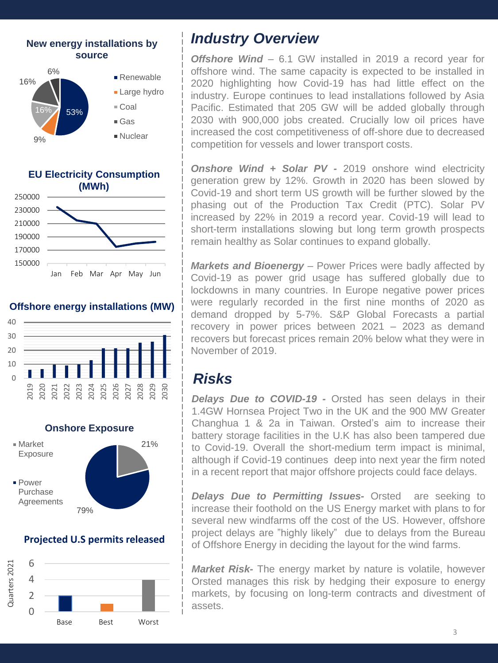





#### **Offshore energy installations (MW)**





#### **Projected U.S permits released**



## *Industry Overview*

*Offshore Wind* – 6.1 GW installed in 2019 a record year for offshore wind. The same capacity is expected to be installed in 2020 highlighting how Covid-19 has had little effect on the industry. Europe continues to lead installations followed by Asia Pacific. Estimated that 205 GW will be added globally through 2030 with 900,000 jobs created. Crucially low oil prices have increased the cost competitiveness of off-shore due to decreased competition for vessels and lower transport costs.

*Onshore Wind + Solar PV -* 2019 onshore wind electricity generation grew by 12%. Growth in 2020 has been slowed by Covid-19 and short term US growth will be further slowed by the phasing out of the Production Tax Credit (PTC). Solar PV increased by 22% in 2019 a record year. Covid-19 will lead to short-term installations slowing but long term growth prospects remain healthy as Solar continues to expand globally.

*Markets and Bioenergy* – Power Prices were badly affected by Covid-19 as power grid usage has suffered globally due to lockdowns in many countries. In Europe negative power prices were regularly recorded in the first nine months of 2020 as demand dropped by 5-7%. S&P Global Forecasts a partial recovery in power prices between 2021 – 2023 as demand recovers but forecast prices remain 20% below what they were in November of 2019.

## *Risks*

*Delays Due to COVID-19 -* Orsted has seen delays in their 1.4GW Hornsea Project Two in the UK and the 900 MW Greater Changhua 1 & 2a in Taiwan. Orsted's aim to increase their battery storage facilities in the U.K has also been tampered due to Covid-19. Overall the short-medium term impact is minimal, although if Covid-19 continues deep into next year the firm noted in a recent report that major offshore projects could face delays.

*Delays Due to Permitting Issues-* Orsted are seeking to increase their foothold on the US Energy market with plans to for several new windfarms off the cost of the US. However, offshore project delays are "highly likely" due to delays from the Bureau of Offshore Energy in deciding the layout for the wind farms.

*Market Risk-* The energy market by nature is volatile, however Orsted manages this risk by hedging their exposure to energy markets, by focusing on long-term contracts and divestment of assets.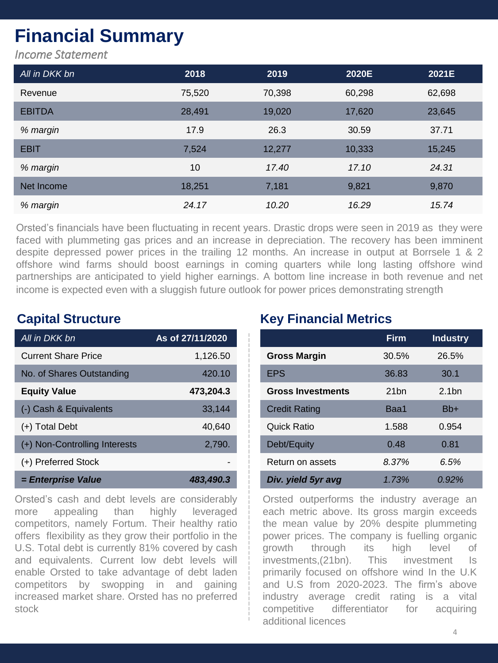# **Financial Summary**

*Income Statement*

| All in DKK bn | 2018   | 2019   | 2020E  | 2021E  |
|---------------|--------|--------|--------|--------|
| Revenue       | 75,520 | 70,398 | 60,298 | 62,698 |
| <b>EBITDA</b> | 28,491 | 19,020 | 17,620 | 23,645 |
| % margin      | 17.9   | 26.3   | 30.59  | 37.71  |
| <b>EBIT</b>   | 7,524  | 12,277 | 10,333 | 15,245 |
| % margin      | 10     | 17.40  | 17.10  | 24.31  |
| Net Income    | 18,251 | 7,181  | 9,821  | 9,870  |
| % margin      | 24.17  | 10.20  | 16.29  | 15.74  |

Orsted's financials have been fluctuating in recent years. Drastic drops were seen in 2019 as they were faced with plummeting gas prices and an increase in depreciation. The recovery has been imminent despite depressed power prices in the trailing 12 months. An increase in output at Borrsele 1 & 2 offshore wind farms should boost earnings in coming quarters while long lasting offshore wind partnerships are anticipated to yield higher earnings. A bottom line increase in both revenue and net income is expected even with a sluggish future outlook for power prices demonstrating strength

| All in DKK bn                 | As of 27/11/2020 |
|-------------------------------|------------------|
| <b>Current Share Price</b>    | 1,126.50         |
| No. of Shares Outstanding     | 420.10           |
| <b>Equity Value</b>           | 473,204.3        |
| (-) Cash & Equivalents        | 33,144           |
| $(+)$ Total Debt              | 40.640           |
| (+) Non-Controlling Interests | 2,790.           |
| (+) Preferred Stock           |                  |
| = Enterprise Value            | 483,490.3        |

Orsted's cash and debt levels are considerably more appealing than highly leveraged competitors, namely Fortum. Their healthy ratio offers flexibility as they grow their portfolio in the U.S. Total debt is currently 81% covered by cash and equivalents. Current low debt levels will enable Orsted to take advantage of debt laden competitors by swopping in and gaining increased market share. Orsted has no preferred stock

## **Capital Structure Key Financial Metrics**

|                          | <b>Firm</b>      | <b>Industry</b>   |
|--------------------------|------------------|-------------------|
| <b>Gross Margin</b>      | 30.5%            | 26.5%             |
| <b>EPS</b>               | 36.83            | 30.1              |
| <b>Gross Investments</b> | 21 <sub>bn</sub> | 2.1 <sub>bn</sub> |
| <b>Credit Rating</b>     | Baa1             | Bb+               |
| Quick Ratio              | 1.588            | 0.954             |
| Debt/Equity              | 0.48             | 0.81              |
| Return on assets         | 8.37%            | 6.5%              |
| Div. yield 5yr avg       | 1.73%            | $0.92\%$          |

Orsted outperforms the industry average an each metric above. Its gross margin exceeds the mean value by 20% despite plummeting power prices. The company is fuelling organic growth through its high level of investments,(21bn). This investment Is primarily focused on offshore wind In the U.K and U.S from 2020-2023. The firm's above industry average credit rating is a vital competitive differentiator for acquiring additional licences